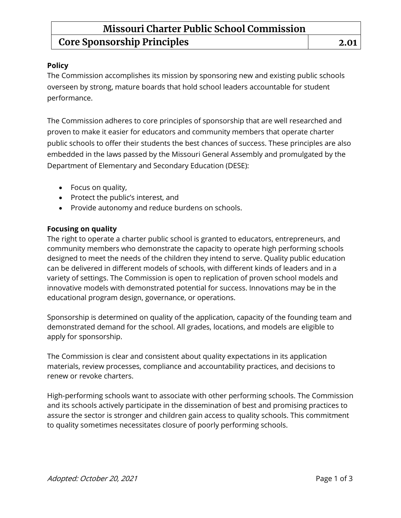## **Missouri Charter Public School Commission Core Sponsorship Principles 2.01**

### **Policy**

The Commission accomplishes its mission by sponsoring new and existing public schools overseen by strong, mature boards that hold school leaders accountable for student performance.

The Commission adheres to core principles of sponsorship that are well researched and proven to make it easier for educators and community members that operate charter public schools to offer their students the best chances of success. These principles are also embedded in the laws passed by the Missouri General Assembly and promulgated by the Department of Elementary and Secondary Education (DESE):

- Focus on quality,
- Protect the public's interest, and
- Provide autonomy and reduce burdens on schools.

### **Focusing on quality**

The right to operate a charter public school is granted to educators, entrepreneurs, and community members who demonstrate the capacity to operate high performing schools designed to meet the needs of the children they intend to serve. Quality public education can be delivered in different models of schools, with different kinds of leaders and in a variety of settings. The Commission is open to replication of proven school models and innovative models with demonstrated potential for success. Innovations may be in the educational program design, governance, or operations.

Sponsorship is determined on quality of the application, capacity of the founding team and demonstrated demand for the school. All grades, locations, and models are eligible to apply for sponsorship.

The Commission is clear and consistent about quality expectations in its application materials, review processes, compliance and accountability practices, and decisions to renew or revoke charters.

High-performing schools want to associate with other performing schools. The Commission and its schools actively participate in the dissemination of best and promising practices to assure the sector is stronger and children gain access to quality schools. This commitment to quality sometimes necessitates closure of poorly performing schools.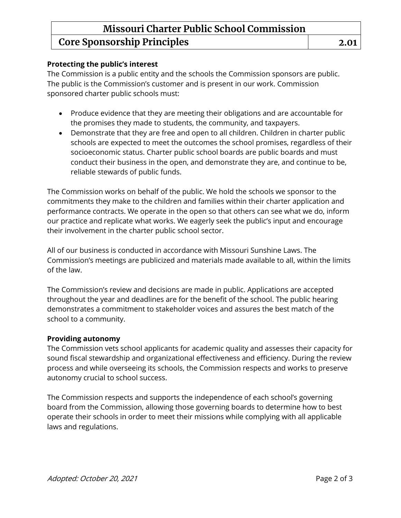## **Missouri Charter Public School Commission Core Sponsorship Principles 2.01**

### **Protecting the public's interest**

The Commission is a public entity and the schools the Commission sponsors are public. The public is the Commission's customer and is present in our work. Commission sponsored charter public schools must:

- Produce evidence that they are meeting their obligations and are accountable for the promises they made to students, the community, and taxpayers.
- Demonstrate that they are free and open to all children. Children in charter public schools are expected to meet the outcomes the school promises, regardless of their socioeconomic status. Charter public school boards are public boards and must conduct their business in the open, and demonstrate they are, and continue to be, reliable stewards of public funds.

The Commission works on behalf of the public. We hold the schools we sponsor to the commitments they make to the children and families within their charter application and performance contracts. We operate in the open so that others can see what we do, inform our practice and replicate what works. We eagerly seek the public's input and encourage their involvement in the charter public school sector.

All of our business is conducted in accordance with Missouri Sunshine Laws. The Commission's meetings are publicized and materials made available to all, within the limits of the law.

The Commission's review and decisions are made in public. Applications are accepted throughout the year and deadlines are for the benefit of the school. The public hearing demonstrates a commitment to stakeholder voices and assures the best match of the school to a community.

#### **Providing autonomy**

The Commission vets school applicants for academic quality and assesses their capacity for sound fiscal stewardship and organizational effectiveness and efficiency. During the review process and while overseeing its schools, the Commission respects and works to preserve autonomy crucial to school success.

The Commission respects and supports the independence of each school's governing board from the Commission, allowing those governing boards to determine how to best operate their schools in order to meet their missions while complying with all applicable laws and regulations.